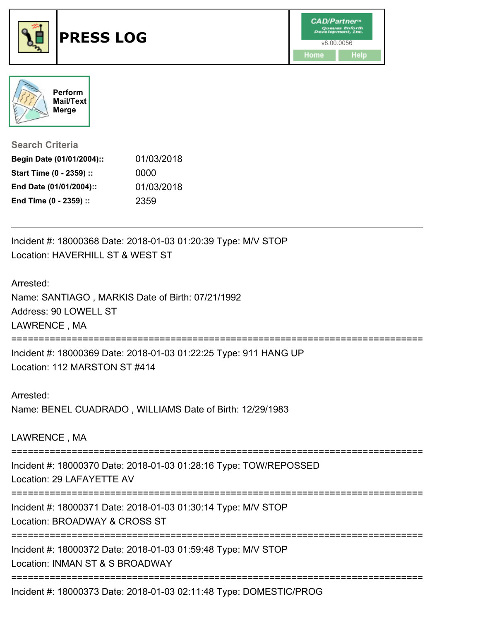



**Search Criteria**

| Begin Date (01/01/2004):: | 01/03/2018 |
|---------------------------|------------|
| Start Time (0 - 2359) ::  | 0000       |
| End Date (01/01/2004)::   | 01/03/2018 |
| End Time (0 - 2359) ::    | 2359       |

Incident #: 18000368 Date: 2018-01-03 01:20:39 Type: M/V STOP Location: HAVERHILL ST & WEST ST

## Arrested:

Name: SANTIAGO , MARKIS Date of Birth: 07/21/1992 Address: 90 LOWELL ST LAWRENCE , MA

===========================================================================

Incident #: 18000369 Date: 2018-01-03 01:22:25 Type: 911 HANG UP Location: 112 MARSTON ST #414

Arrested: Name: BENEL CUADRADO , WILLIAMS Date of Birth: 12/29/1983

LAWRENCE , MA

===========================================================================

Incident #: 18000370 Date: 2018-01-03 01:28:16 Type: TOW/REPOSSED

Location: 29 LAFAYETTE AV

===========================================================================

Incident #: 18000371 Date: 2018-01-03 01:30:14 Type: M/V STOP Location: BROADWAY & CROSS ST

===========================================================================

Incident #: 18000372 Date: 2018-01-03 01:59:48 Type: M/V STOP Location: INMAN ST & S BROADWAY

===========================================================================

Incident #: 18000373 Date: 2018-01-03 02:11:48 Type: DOMESTIC/PROG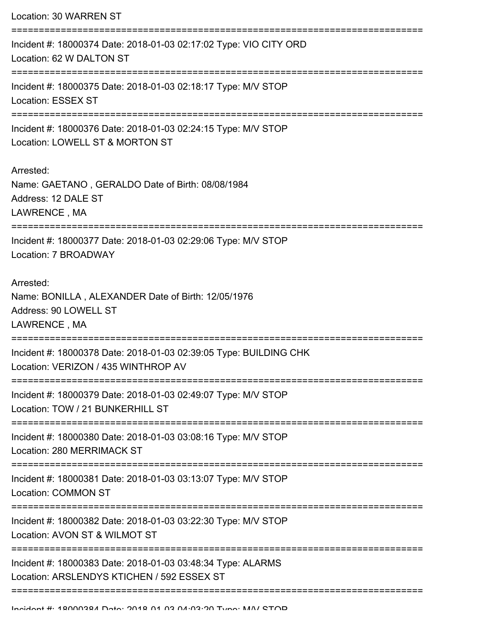Location: 30 WARREN ST =========================================================================== Incident #: 18000374 Date: 2018-01-03 02:17:02 Type: VIO CITY ORD Location: 62 W DALTON ST =========================================================================== Incident #: 18000375 Date: 2018-01-03 02:18:17 Type: M/V STOP Location: ESSEX ST =========================================================================== Incident #: 18000376 Date: 2018-01-03 02:24:15 Type: M/V STOP Location: LOWELL ST & MORTON ST Arrested: Name: GAETANO , GERALDO Date of Birth: 08/08/1984 Address: 12 DALE ST LAWRENCE , MA =========================================================================== Incident #: 18000377 Date: 2018-01-03 02:29:06 Type: M/V STOP Location: 7 BROADWAY Arrested: Name: BONILLA , ALEXANDER Date of Birth: 12/05/1976 Address: 90 LOWELL ST LAWRENCE , MA =========================================================================== Incident #: 18000378 Date: 2018-01-03 02:39:05 Type: BUILDING CHK Location: VERIZON / 435 WINTHROP AV =========================================================================== Incident #: 18000379 Date: 2018-01-03 02:49:07 Type: M/V STOP Location: TOW / 21 BUNKERHILL ST =========================================================================== Incident #: 18000380 Date: 2018-01-03 03:08:16 Type: M/V STOP Location: 280 MERRIMACK ST =========================================================================== Incident #: 18000381 Date: 2018-01-03 03:13:07 Type: M/V STOP Location: COMMON ST =========================================================================== Incident #: 18000382 Date: 2018-01-03 03:22:30 Type: M/V STOP Location: AVON ST & WILMOT ST =========================================================================== Incident #: 18000383 Date: 2018-01-03 03:48:34 Type: ALARMS Location: ARSLENDYS KTICHEN / 592 ESSEX ST ===========================================================================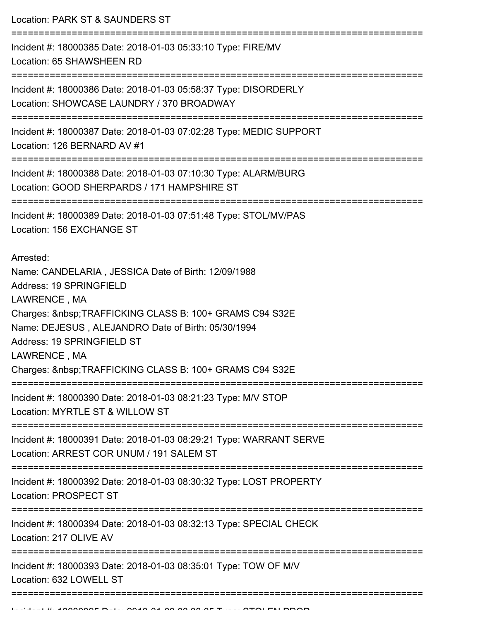Location: PARK ST & SAUNDERS ST

=========================================================================== Incident #: 18000385 Date: 2018-01-03 05:33:10 Type: FIRE/MV Location: 65 SHAWSHEEN RD =========================================================================== Incident #: 18000386 Date: 2018-01-03 05:58:37 Type: DISORDERLY Location: SHOWCASE LAUNDRY / 370 BROADWAY =========================================================================== Incident #: 18000387 Date: 2018-01-03 07:02:28 Type: MEDIC SUPPORT Location: 126 BERNARD AV #1 =========================================================================== Incident #: 18000388 Date: 2018-01-03 07:10:30 Type: ALARM/BURG Location: GOOD SHERPARDS / 171 HAMPSHIRE ST =========================================================================== Incident #: 18000389 Date: 2018-01-03 07:51:48 Type: STOL/MV/PAS Location: 156 EXCHANGE ST Arrested: Name: CANDELARIA , JESSICA Date of Birth: 12/09/1988 Address: 19 SPRINGFIELD LAWRENCE , MA Charges: TRAFFICKING CLASS B: 100+ GRAMS C94 S32E Name: DEJESUS , ALEJANDRO Date of Birth: 05/30/1994 Address: 19 SPRINGFIELD ST LAWRENCE , MA Charges: TRAFFICKING CLASS B: 100+ GRAMS C94 S32E =========================================================================== Incident #: 18000390 Date: 2018-01-03 08:21:23 Type: M/V STOP Location: MYRTLE ST & WILLOW ST =========================================================================== Incident #: 18000391 Date: 2018-01-03 08:29:21 Type: WARRANT SERVE Location: ARREST COR UNUM / 191 SALEM ST =========================================================================== Incident #: 18000392 Date: 2018-01-03 08:30:32 Type: LOST PROPERTY Location: PROSPECT ST =========================================================================== Incident #: 18000394 Date: 2018-01-03 08:32:13 Type: SPECIAL CHECK Location: 217 OLIVE AV =========================================================================== Incident #: 18000393 Date: 2018-01-03 08:35:01 Type: TOW OF M/V Location: 632 LOWELL ST ===========================================================================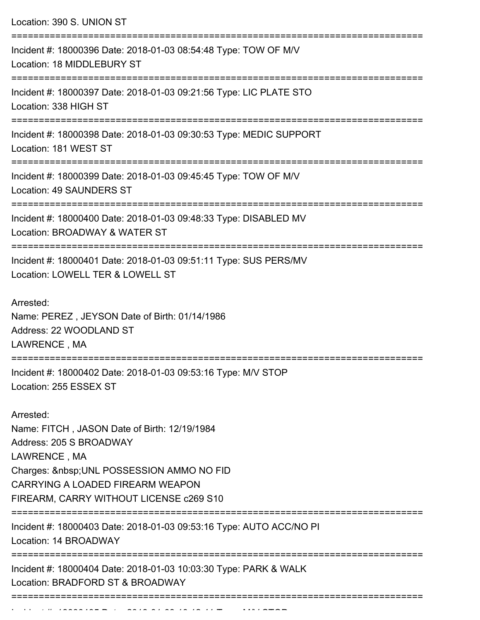| Location: 390 S. UNION ST                                                                                                                                                                                                           |
|-------------------------------------------------------------------------------------------------------------------------------------------------------------------------------------------------------------------------------------|
| Incident #: 18000396 Date: 2018-01-03 08:54:48 Type: TOW OF M/V<br>Location: 18 MIDDLEBURY ST                                                                                                                                       |
| Incident #: 18000397 Date: 2018-01-03 09:21:56 Type: LIC PLATE STO<br>Location: 338 HIGH ST                                                                                                                                         |
| Incident #: 18000398 Date: 2018-01-03 09:30:53 Type: MEDIC SUPPORT<br>Location: 181 WEST ST                                                                                                                                         |
| Incident #: 18000399 Date: 2018-01-03 09:45:45 Type: TOW OF M/V<br><b>Location: 49 SAUNDERS ST</b>                                                                                                                                  |
| Incident #: 18000400 Date: 2018-01-03 09:48:33 Type: DISABLED MV<br>Location: BROADWAY & WATER ST                                                                                                                                   |
| Incident #: 18000401 Date: 2018-01-03 09:51:11 Type: SUS PERS/MV<br>Location: LOWELL TER & LOWELL ST                                                                                                                                |
| Arrested:<br>Name: PEREZ, JEYSON Date of Birth: 01/14/1986<br>Address: 22 WOODLAND ST<br>LAWRENCE, MA                                                                                                                               |
| Incident #: 18000402 Date: 2018-01-03 09:53:16 Type: M/V STOP<br>Location: 255 ESSEX ST                                                                                                                                             |
| Arrested:<br>Name: FITCH, JASON Date of Birth: 12/19/1984<br>Address: 205 S BROADWAY<br>LAWRENCE, MA<br>Charges:   UNL POSSESSION AMMO NO FID<br><b>CARRYING A LOADED FIREARM WEAPON</b><br>FIREARM, CARRY WITHOUT LICENSE c269 S10 |
| Incident #: 18000403 Date: 2018-01-03 09:53:16 Type: AUTO ACC/NO PI<br>Location: 14 BROADWAY                                                                                                                                        |
| Incident #: 18000404 Date: 2018-01-03 10:03:30 Type: PARK & WALK<br>Location: BRADFORD ST & BROADWAY                                                                                                                                |
|                                                                                                                                                                                                                                     |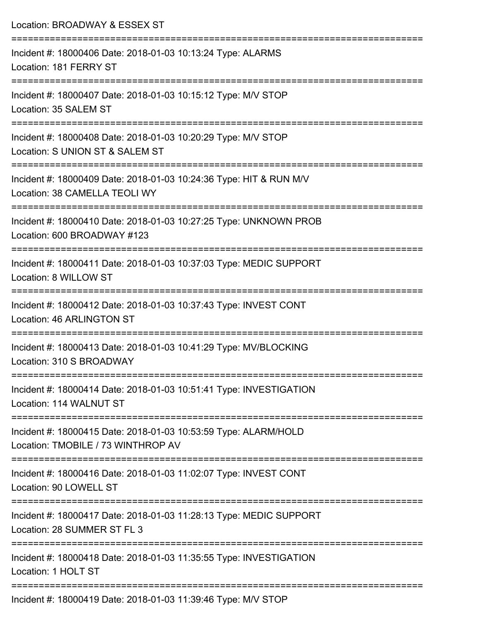| Location: BROADWAY & ESSEX ST                                                                                                                         |
|-------------------------------------------------------------------------------------------------------------------------------------------------------|
| Incident #: 18000406 Date: 2018-01-03 10:13:24 Type: ALARMS<br>Location: 181 FERRY ST                                                                 |
| Incident #: 18000407 Date: 2018-01-03 10:15:12 Type: M/V STOP<br>Location: 35 SALEM ST                                                                |
| Incident #: 18000408 Date: 2018-01-03 10:20:29 Type: M/V STOP<br>Location: S UNION ST & SALEM ST                                                      |
| :====================<br>Incident #: 18000409 Date: 2018-01-03 10:24:36 Type: HIT & RUN M/V<br>Location: 38 CAMELLA TEOLI WY                          |
| Incident #: 18000410 Date: 2018-01-03 10:27:25 Type: UNKNOWN PROB<br>Location: 600 BROADWAY #123                                                      |
| ----------------------<br>Incident #: 18000411 Date: 2018-01-03 10:37:03 Type: MEDIC SUPPORT<br>Location: 8 WILLOW ST<br>============================ |
| Incident #: 18000412 Date: 2018-01-03 10:37:43 Type: INVEST CONT<br>Location: 46 ARLINGTON ST                                                         |
| Incident #: 18000413 Date: 2018-01-03 10:41:29 Type: MV/BLOCKING<br>Location: 310 S BROADWAY                                                          |
| Incident #: 18000414 Date: 2018-01-03 10:51:41 Type: INVESTIGATION<br>Location: 114 WALNUT ST                                                         |
| Incident #: 18000415 Date: 2018-01-03 10:53:59 Type: ALARM/HOLD<br>Location: TMOBILE / 73 WINTHROP AV                                                 |
| Incident #: 18000416 Date: 2018-01-03 11:02:07 Type: INVEST CONT<br>Location: 90 LOWELL ST                                                            |
| Incident #: 18000417 Date: 2018-01-03 11:28:13 Type: MEDIC SUPPORT<br>Location: 28 SUMMER ST FL 3                                                     |
| Incident #: 18000418 Date: 2018-01-03 11:35:55 Type: INVESTIGATION<br>Location: 1 HOLT ST                                                             |
|                                                                                                                                                       |

Incident #: 18000419 Date: 2018-01-03 11:39:46 Type: M/V STOP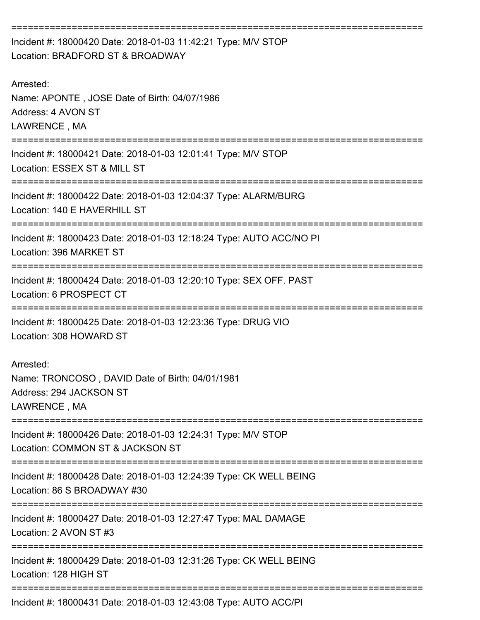=========================================================================== Incident #: 18000420 Date: 2018-01-03 11:42:21 Type: M/V STOP Location: BRADFORD ST & BROADWAY Arrested: Name: APONTE , JOSE Date of Birth: 04/07/1986 Address: 4 AVON ST LAWRENCE , MA =========================================================================== Incident #: 18000421 Date: 2018-01-03 12:01:41 Type: M/V STOP Location: ESSEX ST & MILL ST =========================================================================== Incident #: 18000422 Date: 2018-01-03 12:04:37 Type: ALARM/BURG Location: 140 E HAVERHILL ST =========================================================================== Incident #: 18000423 Date: 2018-01-03 12:18:24 Type: AUTO ACC/NO PI Location: 396 MARKET ST =========================================================================== Incident #: 18000424 Date: 2018-01-03 12:20:10 Type: SEX OFF. PAST Location: 6 PROSPECT CT =========================================================================== Incident #: 18000425 Date: 2018-01-03 12:23:36 Type: DRUG VIO Location: 308 HOWARD ST Arrested: Name: TRONCOSO , DAVID Date of Birth: 04/01/1981 Address: 294 JACKSON ST LAWRENCE , MA =========================================================================== Incident #: 18000426 Date: 2018-01-03 12:24:31 Type: M/V STOP Location: COMMON ST & JACKSON ST =========================================================================== Incident #: 18000428 Date: 2018-01-03 12:24:39 Type: CK WELL BEING Location: 86 S BROADWAY #30 =========================================================================== Incident #: 18000427 Date: 2018-01-03 12:27:47 Type: MAL DAMAGE Location: 2 AVON ST #3 =========================================================================== Incident #: 18000429 Date: 2018-01-03 12:31:26 Type: CK WELL BEING Location: 128 HIGH ST =========================================================================== Incident #: 18000431 Date: 2018-01-03 12:43:08 Type: AUTO ACC/PI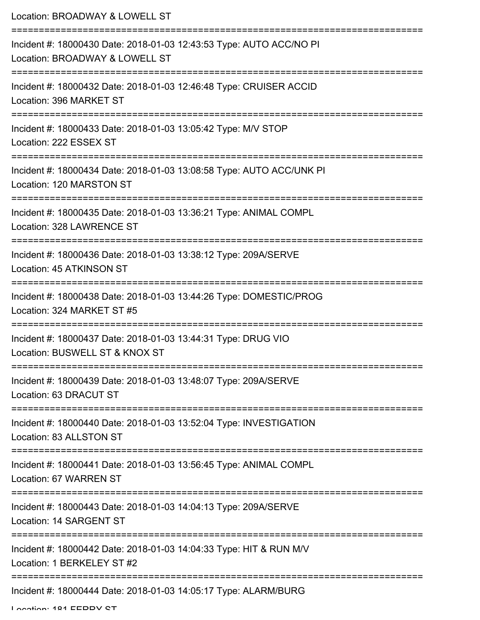| Location: BROADWAY & LOWELL ST                                                                                                               |
|----------------------------------------------------------------------------------------------------------------------------------------------|
| Incident #: 18000430 Date: 2018-01-03 12:43:53 Type: AUTO ACC/NO PI<br>Location: BROADWAY & LOWELL ST<br>------------<br>=================== |
| Incident #: 18000432 Date: 2018-01-03 12:46:48 Type: CRUISER ACCID<br>Location: 396 MARKET ST<br>;====================================       |
| Incident #: 18000433 Date: 2018-01-03 13:05:42 Type: M/V STOP<br>Location: 222 ESSEX ST                                                      |
| Incident #: 18000434 Date: 2018-01-03 13:08:58 Type: AUTO ACC/UNK PI<br>Location: 120 MARSTON ST                                             |
| Incident #: 18000435 Date: 2018-01-03 13:36:21 Type: ANIMAL COMPL<br>Location: 328 LAWRENCE ST                                               |
| Incident #: 18000436 Date: 2018-01-03 13:38:12 Type: 209A/SERVE<br>Location: 45 ATKINSON ST                                                  |
| Incident #: 18000438 Date: 2018-01-03 13:44:26 Type: DOMESTIC/PROG<br>Location: 324 MARKET ST #5                                             |
| Incident #: 18000437 Date: 2018-01-03 13:44:31 Type: DRUG VIO<br>Location: BUSWELL ST & KNOX ST                                              |
| Incident #: 18000439 Date: 2018-01-03 13:48:07 Type: 209A/SERVE<br>Location: 63 DRACUT ST                                                    |
| Incident #: 18000440 Date: 2018-01-03 13:52:04 Type: INVESTIGATION<br>Location: 83 ALLSTON ST                                                |
| Incident #: 18000441 Date: 2018-01-03 13:56:45 Type: ANIMAL COMPL<br>Location: 67 WARREN ST                                                  |
| Incident #: 18000443 Date: 2018-01-03 14:04:13 Type: 209A/SERVE<br>Location: 14 SARGENT ST                                                   |
| Incident #: 18000442 Date: 2018-01-03 14:04:33 Type: HIT & RUN M/V<br>Location: 1 BERKELEY ST #2                                             |
| Incident #: 18000444 Date: 2018-01-03 14:05:17 Type: ALARM/BURG                                                                              |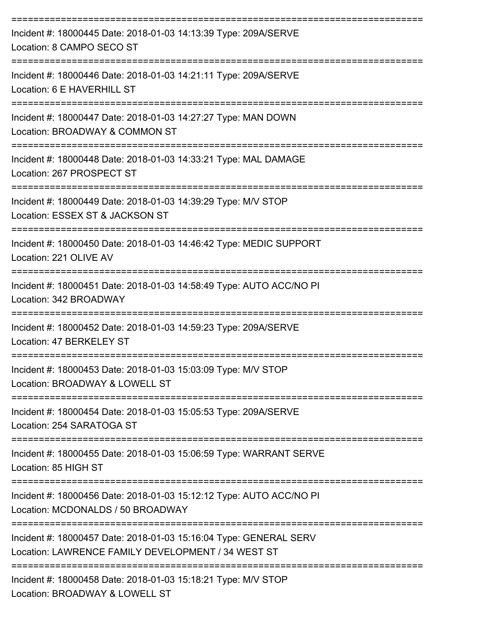| Incident #: 18000445 Date: 2018-01-03 14:13:39 Type: 209A/SERVE<br>Location: 8 CAMPO SECO ST                                  |
|-------------------------------------------------------------------------------------------------------------------------------|
| Incident #: 18000446 Date: 2018-01-03 14:21:11 Type: 209A/SERVE<br>Location: 6 E HAVERHILL ST                                 |
| Incident #: 18000447 Date: 2018-01-03 14:27:27 Type: MAN DOWN<br>Location: BROADWAY & COMMON ST<br>-------------------------- |
| Incident #: 18000448 Date: 2018-01-03 14:33:21 Type: MAL DAMAGE<br>Location: 267 PROSPECT ST                                  |
| Incident #: 18000449 Date: 2018-01-03 14:39:29 Type: M/V STOP<br>Location: ESSEX ST & JACKSON ST<br>:====================     |
| Incident #: 18000450 Date: 2018-01-03 14:46:42 Type: MEDIC SUPPORT<br>Location: 221 OLIVE AV                                  |
| Incident #: 18000451 Date: 2018-01-03 14:58:49 Type: AUTO ACC/NO PI<br>Location: 342 BROADWAY                                 |
| Incident #: 18000452 Date: 2018-01-03 14:59:23 Type: 209A/SERVE<br>Location: 47 BERKELEY ST                                   |
| Incident #: 18000453 Date: 2018-01-03 15:03:09 Type: M/V STOP<br>Location: BROADWAY & LOWELL ST                               |
| Incident #: 18000454 Date: 2018-01-03 15:05:53 Type: 209A/SERVE<br>Location: 254 SARATOGA ST                                  |
| Incident #: 18000455 Date: 2018-01-03 15:06:59 Type: WARRANT SERVE<br>Location: 85 HIGH ST                                    |
| Incident #: 18000456 Date: 2018-01-03 15:12:12 Type: AUTO ACC/NO PI<br>Location: MCDONALDS / 50 BROADWAY                      |
| Incident #: 18000457 Date: 2018-01-03 15:16:04 Type: GENERAL SERV<br>Location: LAWRENCE FAMILY DEVELOPMENT / 34 WEST ST       |
| Incident #: 18000458 Date: 2018-01-03 15:18:21 Type: M/V STOP<br>Location: BROADWAY & LOWELL ST                               |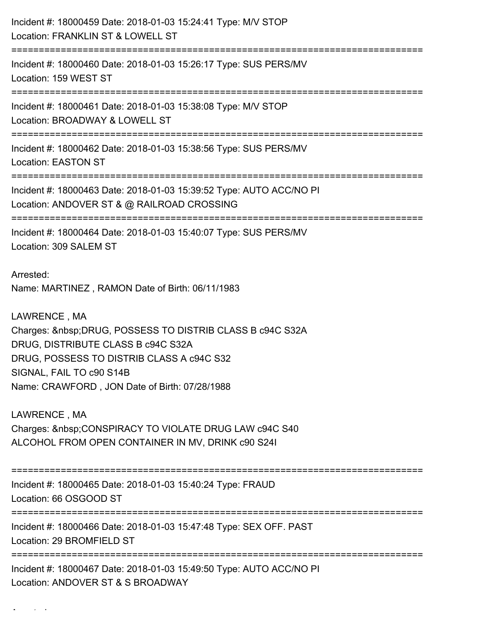Incident #: 18000459 Date: 2018-01-03 15:24:41 Type: M/V STOP Location: FRANKLIN ST & LOWELL ST =========================================================================== Incident #: 18000460 Date: 2018-01-03 15:26:17 Type: SUS PERS/MV Location: 159 WEST ST =========================================================================== Incident #: 18000461 Date: 2018-01-03 15:38:08 Type: M/V STOP Location: BROADWAY & LOWELL ST =========================================================================== Incident #: 18000462 Date: 2018-01-03 15:38:56 Type: SUS PERS/MV Location: EASTON ST =========================================================================== Incident #: 18000463 Date: 2018-01-03 15:39:52 Type: AUTO ACC/NO PI Location: ANDOVER ST & @ RAILROAD CROSSING =========================================================================== Incident #: 18000464 Date: 2018-01-03 15:40:07 Type: SUS PERS/MV Location: 309 SALEM ST Arrested: Name: MARTINEZ , RAMON Date of Birth: 06/11/1983 LAWRENCE , MA Charges: DRUG, POSSESS TO DISTRIB CLASS B c94C S32A DRUG, DISTRIBUTE CLASS B c94C S32A DRUG, POSSESS TO DISTRIB CLASS A c94C S32 SIGNAL, FAIL TO c90 S14B Name: CRAWFORD , JON Date of Birth: 07/28/1988 LAWRENCE , MA Charges: CONSPIRACY TO VIOLATE DRUG LAW c94C S40 ALCOHOL FROM OPEN CONTAINER IN MV, DRINK c90 S24I =========================================================================== Incident #: 18000465 Date: 2018-01-03 15:40:24 Type: FRAUD Location: 66 OSGOOD ST =========================================================================== Incident #: 18000466 Date: 2018-01-03 15:47:48 Type: SEX OFF. PAST Location: 29 BROMFIELD ST =========================================================================== Incident #: 18000467 Date: 2018-01-03 15:49:50 Type: AUTO ACC/NO PI Location: ANDOVER ST & S BROADWAY

Arrested: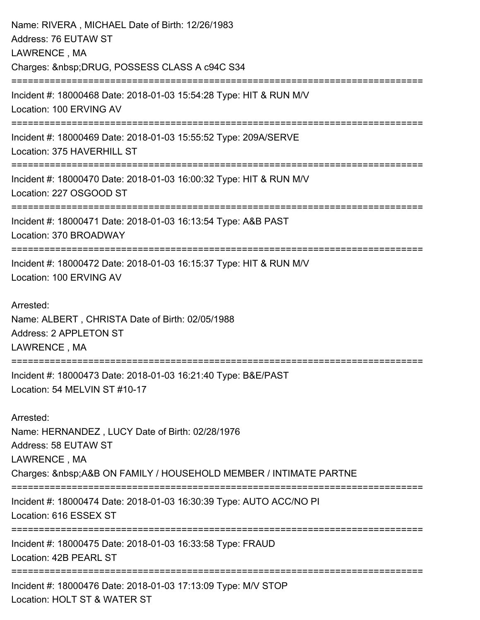| Name: RIVERA, MICHAEL Date of Birth: 12/26/1983<br>Address: 76 EUTAW ST<br>LAWRENCE, MA                                                                              |
|----------------------------------------------------------------------------------------------------------------------------------------------------------------------|
| Charges:  DRUG, POSSESS CLASS A c94C S34<br>======================                                                                                                   |
| Incident #: 18000468 Date: 2018-01-03 15:54:28 Type: HIT & RUN M/V<br>Location: 100 ERVING AV                                                                        |
| Incident #: 18000469 Date: 2018-01-03 15:55:52 Type: 209A/SERVE<br>Location: 375 HAVERHILL ST                                                                        |
| Incident #: 18000470 Date: 2018-01-03 16:00:32 Type: HIT & RUN M/V<br>Location: 227 OSGOOD ST                                                                        |
| Incident #: 18000471 Date: 2018-01-03 16:13:54 Type: A&B PAST<br>Location: 370 BROADWAY                                                                              |
| Incident #: 18000472 Date: 2018-01-03 16:15:37 Type: HIT & RUN M/V<br>Location: 100 ERVING AV                                                                        |
| Arrested:<br>Name: ALBERT, CHRISTA Date of Birth: 02/05/1988<br>Address: 2 APPLETON ST<br>LAWRENCE, MA                                                               |
| Incident #: 18000473 Date: 2018-01-03 16:21:40 Type: B&E/PAST<br>Location: 54 MELVIN ST #10-17                                                                       |
| Arrested:<br>Name: HERNANDEZ, LUCY Date of Birth: 02/28/1976<br>Address: 58 EUTAW ST<br>LAWRENCE, MA<br>Charges:  A&B ON FAMILY / HOUSEHOLD MEMBER / INTIMATE PARTNE |
| Incident #: 18000474 Date: 2018-01-03 16:30:39 Type: AUTO ACC/NO PI<br>Location: 616 ESSEX ST                                                                        |
| Incident #: 18000475 Date: 2018-01-03 16:33:58 Type: FRAUD<br>Location: 42B PEARL ST                                                                                 |
| Incident #: 18000476 Date: 2018-01-03 17:13:09 Type: M/V STOP<br>Location: HOLT ST & WATER ST                                                                        |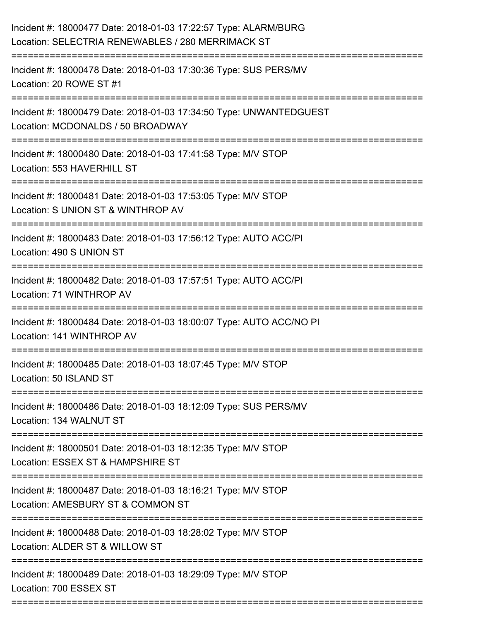| Incident #: 18000477 Date: 2018-01-03 17:22:57 Type: ALARM/BURG<br>Location: SELECTRIA RENEWABLES / 280 MERRIMACK ST |
|----------------------------------------------------------------------------------------------------------------------|
| Incident #: 18000478 Date: 2018-01-03 17:30:36 Type: SUS PERS/MV<br>Location: 20 ROWE ST #1                          |
| Incident #: 18000479 Date: 2018-01-03 17:34:50 Type: UNWANTEDGUEST<br>Location: MCDONALDS / 50 BROADWAY              |
| Incident #: 18000480 Date: 2018-01-03 17:41:58 Type: M/V STOP<br>Location: 553 HAVERHILL ST                          |
| Incident #: 18000481 Date: 2018-01-03 17:53:05 Type: M/V STOP<br>Location: S UNION ST & WINTHROP AV                  |
| Incident #: 18000483 Date: 2018-01-03 17:56:12 Type: AUTO ACC/PI<br>Location: 490 S UNION ST                         |
| Incident #: 18000482 Date: 2018-01-03 17:57:51 Type: AUTO ACC/PI<br>Location: 71 WINTHROP AV                         |
| Incident #: 18000484 Date: 2018-01-03 18:00:07 Type: AUTO ACC/NO PI<br>Location: 141 WINTHROP AV                     |
| Incident #: 18000485 Date: 2018-01-03 18:07:45 Type: M/V STOP<br>Location: 50 ISLAND ST                              |
| Incident #: 18000486 Date: 2018-01-03 18:12:09 Type: SUS PERS/MV<br>Location: 134 WALNUT ST                          |
| Incident #: 18000501 Date: 2018-01-03 18:12:35 Type: M/V STOP<br>Location: ESSEX ST & HAMPSHIRE ST                   |
| Incident #: 18000487 Date: 2018-01-03 18:16:21 Type: M/V STOP<br>Location: AMESBURY ST & COMMON ST                   |
| Incident #: 18000488 Date: 2018-01-03 18:28:02 Type: M/V STOP<br>Location: ALDER ST & WILLOW ST                      |
| Incident #: 18000489 Date: 2018-01-03 18:29:09 Type: M/V STOP<br>Location: 700 ESSEX ST                              |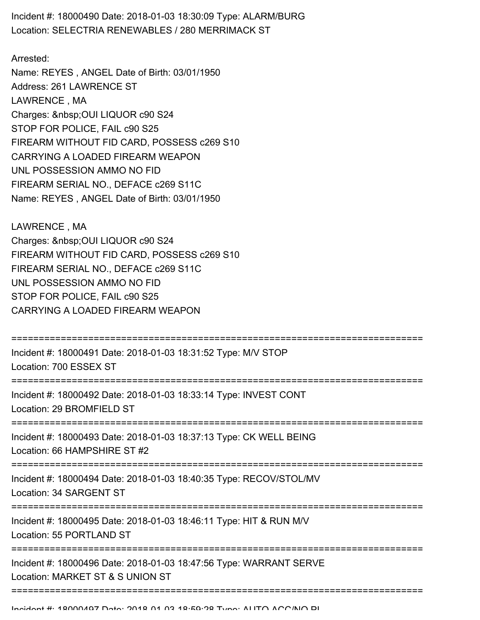Incident #: 18000490 Date: 2018-01-03 18:30:09 Type: ALARM/BURG Location: SELECTRIA RENEWABLES / 280 MERRIMACK ST

Arrested: Name: REYES , ANGEL Date of Birth: 03/01/1950 Address: 261 LAWRENCE ST LAWRENCE , MA Charges: OUI LIQUOR c90 S24 STOP FOR POLICE, FAIL c90 S25 FIREARM WITHOUT FID CARD, POSSESS c269 S10 CARRYING A LOADED FIREARM WEAPON UNL POSSESSION AMMO NO FID FIREARM SERIAL NO., DEFACE c269 S11C Name: REYES , ANGEL Date of Birth: 03/01/1950

LAWRENCE , MA Charges: OUI LIQUOR c90 S24 FIREARM WITHOUT FID CARD, POSSESS c269 S10 FIREARM SERIAL NO., DEFACE c269 S11C UNL POSSESSION AMMO NO FID STOP FOR POLICE, FAIL c90 S25 CARRYING A LOADED FIREARM WEAPON

| Incident #: 18000491 Date: 2018-01-03 18:31:52 Type: M/V STOP<br>Location: 700 ESSEX ST                |
|--------------------------------------------------------------------------------------------------------|
| Incident #: 18000492 Date: 2018-01-03 18:33:14 Type: INVEST CONT<br>Location: 29 BROMFIELD ST          |
| Incident #: 18000493 Date: 2018-01-03 18:37:13 Type: CK WELL BEING<br>Location: 66 HAMPSHIRE ST #2     |
| Incident #: 18000494 Date: 2018-01-03 18:40:35 Type: RECOV/STOL/MV<br>Location: 34 SARGENT ST          |
| Incident #: 18000495 Date: 2018-01-03 18:46:11 Type: HIT & RUN M/V<br>Location: 55 PORTLAND ST         |
| Incident #: 18000496 Date: 2018-01-03 18:47:56 Type: WARRANT SERVE<br>Location: MARKET ST & S UNION ST |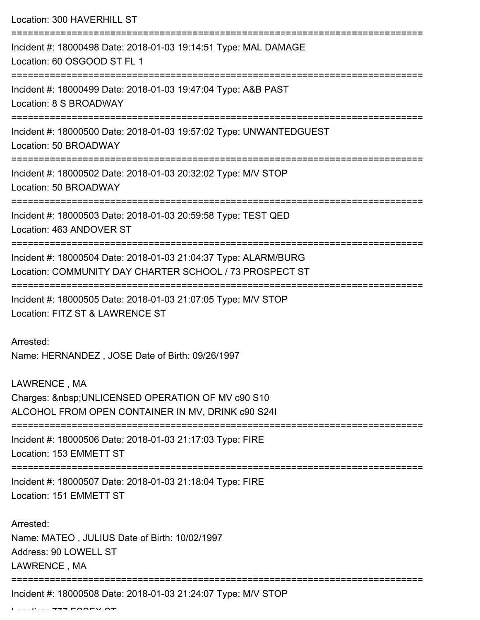Location: 300 HAVERHILL ST

| Incident #: 18000498 Date: 2018-01-03 19:14:51 Type: MAL DAMAGE<br>Location: 60 OSGOOD ST FL 1                                                                        |
|-----------------------------------------------------------------------------------------------------------------------------------------------------------------------|
| Incident #: 18000499 Date: 2018-01-03 19:47:04 Type: A&B PAST<br>Location: 8 S BROADWAY                                                                               |
| Incident #: 18000500 Date: 2018-01-03 19:57:02 Type: UNWANTEDGUEST<br>Location: 50 BROADWAY                                                                           |
| Incident #: 18000502 Date: 2018-01-03 20:32:02 Type: M/V STOP<br>Location: 50 BROADWAY                                                                                |
| Incident #: 18000503 Date: 2018-01-03 20:59:58 Type: TEST QED<br>Location: 463 ANDOVER ST                                                                             |
| Incident #: 18000504 Date: 2018-01-03 21:04:37 Type: ALARM/BURG<br>Location: COMMUNITY DAY CHARTER SCHOOL / 73 PROSPECT ST                                            |
| Incident #: 18000505 Date: 2018-01-03 21:07:05 Type: M/V STOP<br>Location: FITZ ST & LAWRENCE ST                                                                      |
| Arrested:<br>Name: HERNANDEZ, JOSE Date of Birth: 09/26/1997                                                                                                          |
| LAWRENCE, MA<br>Charges:   UNLICENSED OPERATION OF MV c90 S10<br>ALCOHOL FROM OPEN CONTAINER IN MV, DRINK c90 S241                                                    |
| Incident #: 18000506 Date: 2018-01-03 21:17:03 Type: FIRE<br>Location: 153 EMMETT ST                                                                                  |
| =====================================<br>====================================<br>Incident #: 18000507 Date: 2018-01-03 21:18:04 Type: FIRE<br>Location: 151 EMMETT ST |
| Arrested:<br>Name: MATEO, JULIUS Date of Birth: 10/02/1997<br>Address: 90 LOWELL ST<br>LAWRENCE, MA                                                                   |
| Incident #: 18000508 Date: 2018-01-03 21:24:07 Type: M/V STOP                                                                                                         |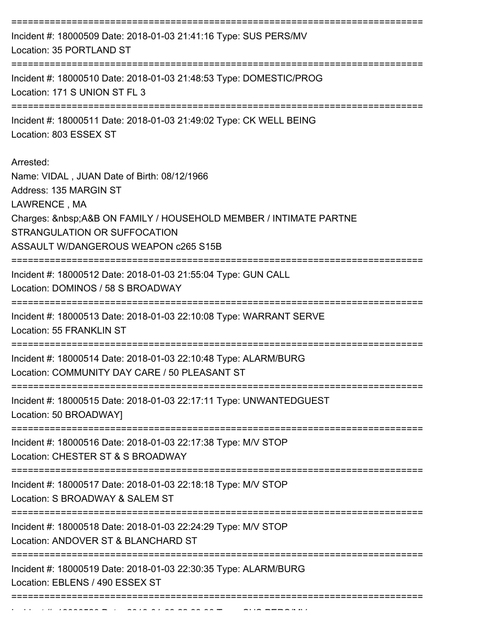| ===================================<br>Incident #: 18000509 Date: 2018-01-03 21:41:16 Type: SUS PERS/MV<br>Location: 35 PORTLAND ST                                                                                                        |
|--------------------------------------------------------------------------------------------------------------------------------------------------------------------------------------------------------------------------------------------|
| Incident #: 18000510 Date: 2018-01-03 21:48:53 Type: DOMESTIC/PROG<br>Location: 171 S UNION ST FL 3                                                                                                                                        |
| Incident #: 18000511 Date: 2018-01-03 21:49:02 Type: CK WELL BEING<br>Location: 803 ESSEX ST                                                                                                                                               |
| Arrested:<br>Name: VIDAL, JUAN Date of Birth: 08/12/1966<br>Address: 135 MARGIN ST<br>LAWRENCE, MA<br>Charges:  A&B ON FAMILY / HOUSEHOLD MEMBER / INTIMATE PARTNE<br>STRANGULATION OR SUFFOCATION<br>ASSAULT W/DANGEROUS WEAPON c265 S15B |
| Incident #: 18000512 Date: 2018-01-03 21:55:04 Type: GUN CALL<br>Location: DOMINOS / 58 S BROADWAY                                                                                                                                         |
| Incident #: 18000513 Date: 2018-01-03 22:10:08 Type: WARRANT SERVE<br>Location: 55 FRANKLIN ST                                                                                                                                             |
| Incident #: 18000514 Date: 2018-01-03 22:10:48 Type: ALARM/BURG<br>Location: COMMUNITY DAY CARE / 50 PLEASANT ST                                                                                                                           |
| Incident #: 18000515 Date: 2018-01-03 22:17:11 Type: UNWANTEDGUEST<br>Location: 50 BROADWAY]                                                                                                                                               |
| ====================<br>Incident #: 18000516 Date: 2018-01-03 22:17:38 Type: M/V STOP<br>Location: CHESTER ST & S BROADWAY                                                                                                                 |
| Incident #: 18000517 Date: 2018-01-03 22:18:18 Type: M/V STOP<br>Location: S BROADWAY & SALEM ST                                                                                                                                           |
| Incident #: 18000518 Date: 2018-01-03 22:24:29 Type: M/V STOP<br>Location: ANDOVER ST & BLANCHARD ST                                                                                                                                       |
| Incident #: 18000519 Date: 2018-01-03 22:30:35 Type: ALARM/BURG<br>Location: EBLENS / 490 ESSEX ST                                                                                                                                         |
|                                                                                                                                                                                                                                            |